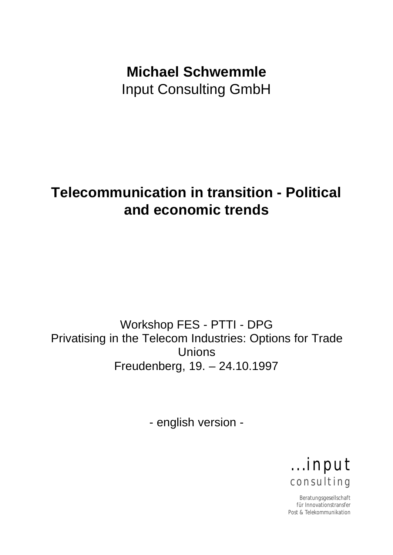# **Michael Schwemmle** Input Consulting GmbH

# **Telecommunication in transition - Political and economic trends**

Workshop FES - PTTI - DPG Privatising in the Telecom Industries: Options for Trade Unions Freudenberg, 19. – 24.10.1997

- english version -

. . .input c on su ltin g

Beratungsgesellschaft für Innovationstransfer Post & Telekommunikation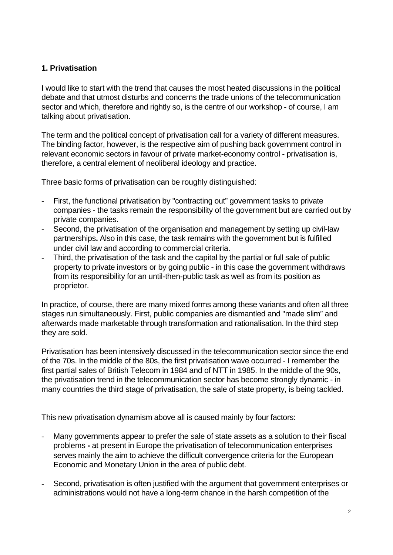#### **1. Privatisation**

I would like to start with the trend that causes the most heated discussions in the political debate and that utmost disturbs and concerns the trade unions of the telecommunication sector and which, therefore and rightly so, is the centre of our workshop - of course, I am talking about privatisation.

The term and the political concept of privatisation call for a variety of different measures. The binding factor, however, is the respective aim of pushing back government control in relevant economic sectors in favour of private market-economy control - privatisation is, therefore, a central element of neoliberal ideology and practice.

Three basic forms of privatisation can be roughly distinguished:

- First, the functional privatisation by "contracting out" government tasks to private companies - the tasks remain the responsibility of the government but are carried out by private companies.
- Second, the privatisation of the organisation and management by setting up civil-law partnerships**.** Also in this case, the task remains with the government but is fulfilled under civil law and according to commercial criteria.
- Third, the privatisation of the task and the capital by the partial or full sale of public property to private investors or by going public - in this case the government withdraws from its responsibility for an until-then-public task as well as from its position as proprietor.

In practice, of course, there are many mixed forms among these variants and often all three stages run simultaneously. First, public companies are dismantled and "made slim" and afterwards made marketable through transformation and rationalisation. In the third step they are sold.

Privatisation has been intensively discussed in the telecommunication sector since the end of the 70s. In the middle of the 80s, the first privatisation wave occurred - I remember the first partial sales of British Telecom in 1984 and of NTT in 1985. In the middle of the 90s, the privatisation trend in the telecommunication sector has become strongly dynamic - in many countries the third stage of privatisation, the sale of state property, is being tackled.

This new privatisation dynamism above all is caused mainly by four factors:

- Many governments appear to prefer the sale of state assets as a solution to their fiscal problems **-** at present in Europe the privatisation of telecommunication enterprises serves mainly the aim to achieve the difficult convergence criteria for the European Economic and Monetary Union in the area of public debt.
- Second, privatisation is often justified with the argument that government enterprises or administrations would not have a long-term chance in the harsh competition of the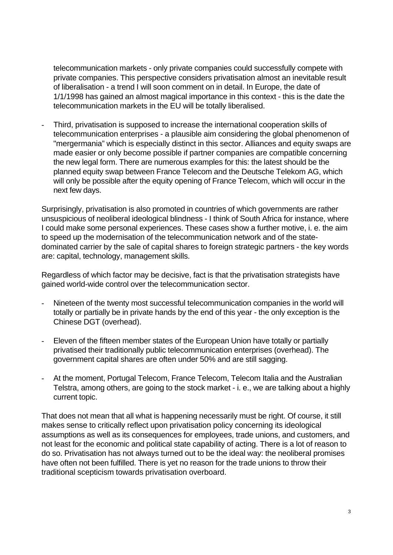telecommunication markets - only private companies could successfully compete with private companies. This perspective considers privatisation almost an inevitable result of liberalisation - a trend I will soon comment on in detail. In Europe, the date of 1/1/1998 has gained an almost magical importance in this context - this is the date the telecommunication markets in the EU will be totally liberalised.

- Third, privatisation is supposed to increase the international cooperation skills of telecommunication enterprises - a plausible aim considering the global phenomenon of "mergermania" which is especially distinct in this sector. Alliances and equity swaps are made easier or only become possible if partner companies are compatible concerning the new legal form. There are numerous examples for this: the latest should be the planned equity swap between France Telecom and the Deutsche Telekom AG, which will only be possible after the equity opening of France Telecom, which will occur in the next few days.

Surprisingly, privatisation is also promoted in countries of which governments are rather unsuspicious of neoliberal ideological blindness - I think of South Africa for instance, where I could make some personal experiences. These cases show a further motive, i. e. the aim to speed up the modernisation of the telecommunication network and of the statedominated carrier by the sale of capital shares to foreign strategic partners - the key words are: capital, technology, management skills.

Regardless of which factor may be decisive, fact is that the privatisation strategists have gained world-wide control over the telecommunication sector.

- Nineteen of the twenty most successful telecommunication companies in the world will totally or partially be in private hands by the end of this year - the only exception is the Chinese DGT (overhead).
- Eleven of the fifteen member states of the European Union have totally or partially privatised their traditionally public telecommunication enterprises (overhead). The government capital shares are often under 50% and are still sagging.
- At the moment, Portugal Telecom, France Telecom, Telecom Italia and the Australian Telstra, among others, are going to the stock market - i. e., we are talking about a highly current topic.

That does not mean that all what is happening necessarily must be right. Of course, it still makes sense to critically reflect upon privatisation policy concerning its ideological assumptions as well as its consequences for employees, trade unions, and customers, and not least for the economic and political state capability of acting. There is a lot of reason to do so. Privatisation has not always turned out to be the ideal way: the neoliberal promises have often not been fulfilled. There is yet no reason for the trade unions to throw their traditional scepticism towards privatisation overboard.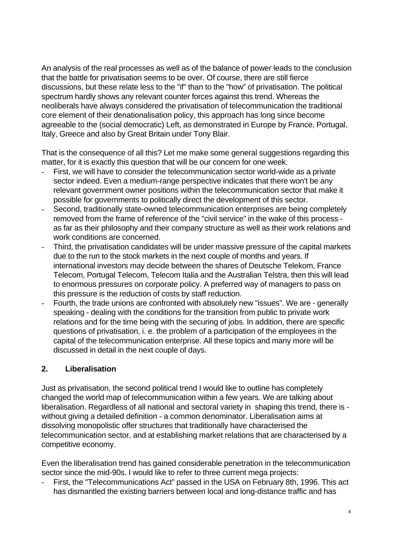An analysis of the real processes as well as of the balance of power leads to the conclusion that the battle for privatisation seems to be over. Of course, there are still fierce discussions, but these relate less to the "if" than to the "how" of privatisation. The political spectrum hardly shows any relevant counter forces against this trend. Whereas the neoliberals have always considered the privatisation of telecommunication the traditional core element of their denationalisation policy, this approach has long since become agreeable to the (social democratic) Left, as demonstrated in Europe by France, Portugal, Italy, Greece and also by Great Britain under Tony Blair.

That is the consequence of all this? Let me make some general suggestions regarding this matter, for it is exactly this question that will be our concern for one week.

- First, we will have to consider the telecommunication sector world-wide as a private sector indeed. Even a medium-range perspective indicates that there won't be any relevant government owner positions within the telecommunication sector that make it possible for governments to politically direct the development of this sector.
- Second, traditionally state-owned telecommunication enterprises are being completely removed from the frame of reference of the "civil service" in the wake of this process as far as their philosophy and their company structure as well as their work relations and work conditions are concerned.
- Third, the privatisation candidates will be under massive pressure of the capital markets due to the run to the stock markets in the next couple of months and years. If international investors may decide between the shares of Deutsche Telekom, France Telecom, Portugal Telecom, Telecom Italia and the Australian Telstra, then this will lead to enormous pressures on corporate policy. A preferred way of managers to pass on this pressure is the reduction of costs by staff reduction.
- Fourth, the trade unions are confronted with absolutely new "issues". We are generally speaking - dealing with the conditions for the transition from public to private work relations and for the time being with the securing of jobs. In addition, there are specific questions of privatisation, i. e. the problem of a participation of the employees in the capital of the telecommunication enterprise. All these topics and many more will be discussed in detail in the next couple of days.

#### **2. Liberalisation**

Just as privatisation, the second political trend I would like to outline has completely changed the world map of telecommunication within a few years. We are talking about liberalisation. Regardless of all national and sectoral variety in shaping this trend, there is without giving a detailed definition - a common denominator. Liberalisation aims at dissolving monopolistic offer structures that traditionally have characterised the telecommunication sector, and at establishing market relations that are characterised by a competitive economy.

Even the liberalisation trend has gained considerable penetration in the telecommunication sector since the mid-90s. I would like to refer to three current mega projects:

- First, the "Telecommunications Act" passed in the USA on February 8th, 1996. This act has dismantled the existing barriers between local and long-distance traffic and has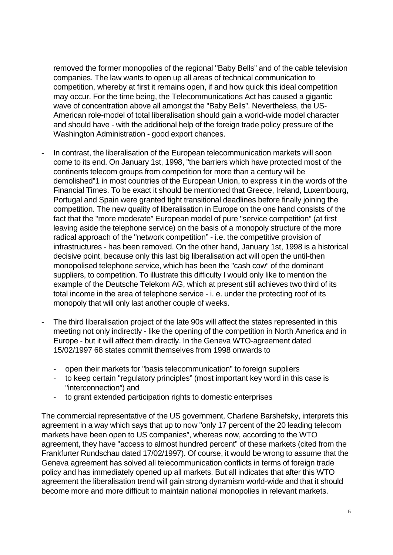removed the former monopolies of the regional "Baby Bells" and of the cable television companies. The law wants to open up all areas of technical communication to competition, whereby at first it remains open, if and how quick this ideal competition may occur. For the time being, the Telecommunications Act has caused a gigantic wave of concentration above all amongst the "Baby Bells". Nevertheless, the US-American role-model of total liberalisation should gain a world-wide model character and should have - with the additional help of the foreign trade policy pressure of the Washington Administration - good export chances.

- In contrast, the liberalisation of the European telecommunication markets will soon come to its end. On January 1st, 1998, "the barriers which have protected most of the continents telecom groups from competition for more than a century will be demolished"1 in most countries of the European Union, to express it in the words of the Financial Times. To be exact it should be mentioned that Greece, Ireland, Luxembourg, Portugal and Spain were granted tight transitional deadlines before finally joining the competition. The new quality of liberalisation in Europe on the one hand consists of the fact that the "more moderate" European model of pure "service competition" (at first leaving aside the telephone service) on the basis of a monopoly structure of the more radical approach of the "network competition" - i.e. the competitive provision of infrastructures - has been removed. On the other hand, January 1st, 1998 is a historical decisive point, because only this last big liberalisation act will open the until-then monopolised telephone service, which has been the "cash cow" of the dominant suppliers, to competition. To illustrate this difficulty I would only like to mention the example of the Deutsche Telekom AG, which at present still achieves two third of its total income in the area of telephone service - i. e. under the protecting roof of its monopoly that will only last another couple of weeks.
- The third liberalisation project of the late 90s will affect the states represented in this meeting not only indirectly - like the opening of the competition in North America and in Europe - but it will affect them directly. In the Geneva WTO-agreement dated 15/02/1997 68 states commit themselves from 1998 onwards to
	- open their markets for "basis telecommunication" to foreign suppliers
	- to keep certain "regulatory principles" (most important key word in this case is "interconnection") and
	- to grant extended participation rights to domestic enterprises

The commercial representative of the US government, Charlene Barshefsky, interprets this agreement in a way which says that up to now "only 17 percent of the 20 leading telecom markets have been open to US companies", whereas now, according to the WTO agreement, they have "access to almost hundred percent" of these markets (cited from the Frankfurter Rundschau dated 17/02/1997). Of course, it would be wrong to assume that the Geneva agreement has solved all telecommunication conflicts in terms of foreign trade policy and has immediately opened up all markets. But all indicates that after this WTO agreement the liberalisation trend will gain strong dynamism world-wide and that it should become more and more difficult to maintain national monopolies in relevant markets.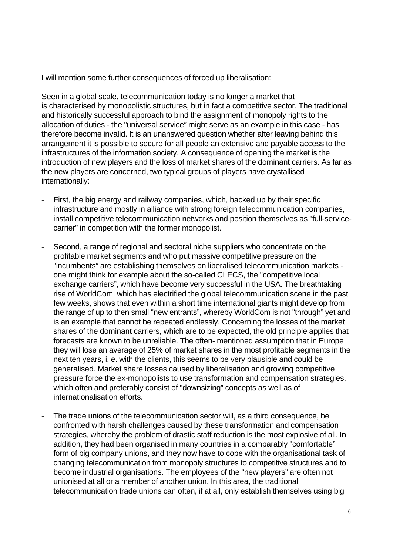I will mention some further consequences of forced up liberalisation:

Seen in a global scale, telecommunication today is no longer a market that is characterised by monopolistic structures, but in fact a competitive sector. The traditional and historically successful approach to bind the assignment of monopoly rights to the allocation of duties - the "universal service" might serve as an example in this case - has therefore become invalid. It is an unanswered question whether after leaving behind this arrangement it is possible to secure for all people an extensive and payable access to the infrastructures of the information society. A consequence of opening the market is the introduction of new players and the loss of market shares of the dominant carriers. As far as the new players are concerned, two typical groups of players have crystallised internationally:

- First, the big energy and railway companies, which, backed up by their specific infrastructure and mostly in alliance with strong foreign telecommunication companies, install competitive telecommunication networks and position themselves as "full-servicecarrier" in competition with the former monopolist.
- Second, a range of regional and sectoral niche suppliers who concentrate on the profitable market segments and who put massive competitive pressure on the "incumbents" are establishing themselves on liberalised telecommunication markets one might think for example about the so-called CLECS, the "competitive local exchange carriers", which have become very successful in the USA. The breathtaking rise of WorldCom, which has electrified the global telecommunication scene in the past few weeks, shows that even within a short time international giants might develop from the range of up to then small "new entrants", whereby WorldCom is not "through" yet and is an example that cannot be repeated endlessly. Concerning the losses of the market shares of the dominant carriers, which are to be expected, the old principle applies that forecasts are known to be unreliable. The often- mentioned assumption that in Europe they will lose an average of 25% of market shares in the most profitable segments in the next ten years, i. e. with the clients, this seems to be very plausible and could be generalised. Market share losses caused by liberalisation and growing competitive pressure force the ex-monopolists to use transformation and compensation strategies, which often and preferably consist of "downsizing" concepts as well as of internationalisation efforts.
- The trade unions of the telecommunication sector will, as a third consequence, be confronted with harsh challenges caused by these transformation and compensation strategies, whereby the problem of drastic staff reduction is the most explosive of all. In addition, they had been organised in many countries in a comparably "comfortable" form of big company unions, and they now have to cope with the organisational task of changing telecommunication from monopoly structures to competitive structures and to become industrial organisations. The employees of the "new players" are often not unionised at all or a member of another union. In this area, the traditional telecommunication trade unions can often, if at all, only establish themselves using big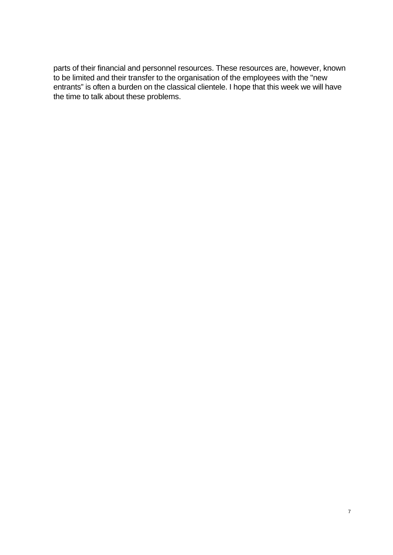parts of their financial and personnel resources. These resources are, however, known to be limited and their transfer to the organisation of the employees with the "new entrants" is often a burden on the classical clientele. I hope that this week we will have the time to talk about these problems.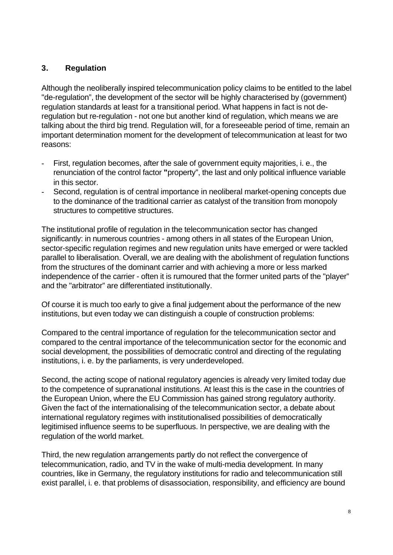# **3. Regulation**

Although the neoliberally inspired telecommunication policy claims to be entitled to the label "de-regulation", the development of the sector will be highly characterised by (government) regulation standards at least for a transitional period. What happens in fact is not deregulation but re-regulation - not one but another kind of regulation, which means we are talking about the third big trend. Regulation will, for a foreseeable period of time, remain an important determination moment for the development of telecommunication at least for two reasons:

- First, regulation becomes, after the sale of government equity majorities, i. e., the renunciation of the control factor **"**property", the last and only political influence variable in this sector.
- Second, regulation is of central importance in neoliberal market-opening concepts due to the dominance of the traditional carrier as catalyst of the transition from monopoly structures to competitive structures.

The institutional profile of regulation in the telecommunication sector has changed significantly: in numerous countries - among others in all states of the European Union, sector-specific regulation regimes and new regulation units have emerged or were tackled parallel to liberalisation. Overall, we are dealing with the abolishment of regulation functions from the structures of the dominant carrier and with achieving a more or less marked independence of the carrier - often it is rumoured that the former united parts of the "player" and the "arbitrator" are differentiated institutionally.

Of course it is much too early to give a final judgement about the performance of the new institutions, but even today we can distinguish a couple of construction problems:

Compared to the central importance of regulation for the telecommunication sector and compared to the central importance of the telecommunication sector for the economic and social development, the possibilities of democratic control and directing of the regulating institutions, i. e. by the parliaments, is very underdeveloped.

Second, the acting scope of national regulatory agencies is already very limited today due to the competence of supranational institutions. At least this is the case in the countries of the European Union, where the EU Commission has gained strong regulatory authority. Given the fact of the internationalising of the telecommunication sector, a debate about international regulatory regimes with institutionalised possibilities of democratically legitimised influence seems to be superfluous. In perspective, we are dealing with the regulation of the world market.

Third, the new regulation arrangements partly do not reflect the convergence of telecommunication, radio, and TV in the wake of multi-media development. In many countries, like in Germany, the regulatory institutions for radio and telecommunication still exist parallel, i. e. that problems of disassociation, responsibility, and efficiency are bound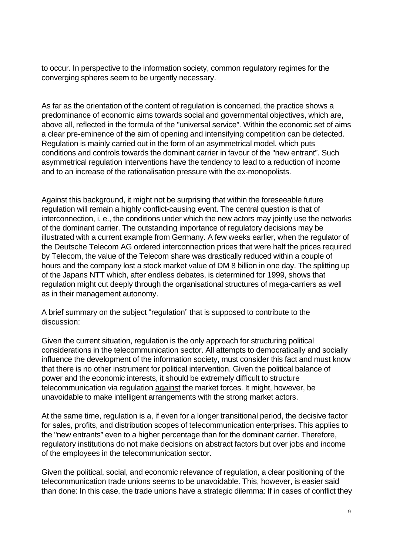to occur. In perspective to the information society, common regulatory regimes for the converging spheres seem to be urgently necessary.

As far as the orientation of the content of regulation is concerned, the practice shows a predominance of economic aims towards social and governmental objectives, which are, above all, reflected in the formula of the "universal service". Within the economic set of aims a clear pre-eminence of the aim of opening and intensifying competition can be detected. Regulation is mainly carried out in the form of an asymmetrical model, which puts conditions and controls towards the dominant carrier in favour of the "new entrant". Such asymmetrical regulation interventions have the tendency to lead to a reduction of income and to an increase of the rationalisation pressure with the ex-monopolists.

Against this background, it might not be surprising that within the foreseeable future regulation will remain a highly conflict-causing event. The central question is that of interconnection, i. e., the conditions under which the new actors may jointly use the networks of the dominant carrier. The outstanding importance of regulatory decisions may be illustrated with a current example from Germany. A few weeks earlier, when the regulator of the Deutsche Telecom AG ordered interconnection prices that were half the prices required by Telecom, the value of the Telecom share was drastically reduced within a couple of hours and the company lost a stock market value of DM 8 billion in one day. The splitting up of the Japans NTT which, after endless debates, is determined for 1999, shows that regulation might cut deeply through the organisational structures of mega-carriers as well as in their management autonomy.

A brief summary on the subject "regulation" that is supposed to contribute to the discussion:

Given the current situation, regulation is the only approach for structuring political considerations in the telecommunication sector. All attempts to democratically and socially influence the development of the information society, must consider this fact and must know that there is no other instrument for political intervention. Given the political balance of power and the economic interests, it should be extremely difficult to structure telecommunication via regulation against the market forces. It might, however, be unavoidable to make intelligent arrangements with the strong market actors.

At the same time, regulation is a, if even for a longer transitional period, the decisive factor for sales, profits, and distribution scopes of telecommunication enterprises. This applies to the "new entrants" even to a higher percentage than for the dominant carrier. Therefore, regulatory institutions do not make decisions on abstract factors but over jobs and income of the employees in the telecommunication sector.

Given the political, social, and economic relevance of regulation, a clear positioning of the telecommunication trade unions seems to be unavoidable. This, however, is easier said than done: In this case, the trade unions have a strategic dilemma: If in cases of conflict they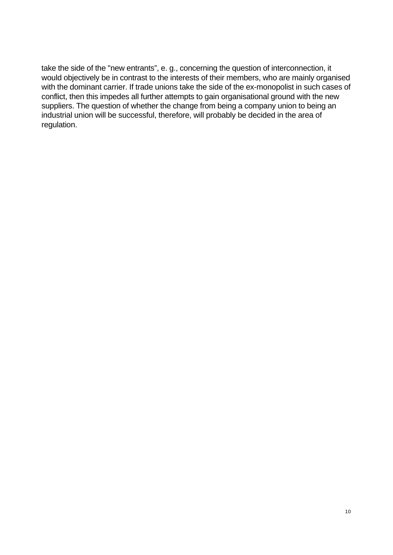take the side of the "new entrants", e. g., concerning the question of interconnection, it would objectively be in contrast to the interests of their members, who are mainly organised with the dominant carrier. If trade unions take the side of the ex-monopolist in such cases of conflict, then this impedes all further attempts to gain organisational ground with the new suppliers. The question of whether the change from being a company union to being an industrial union will be successful, therefore, will probably be decided in the area of regulation.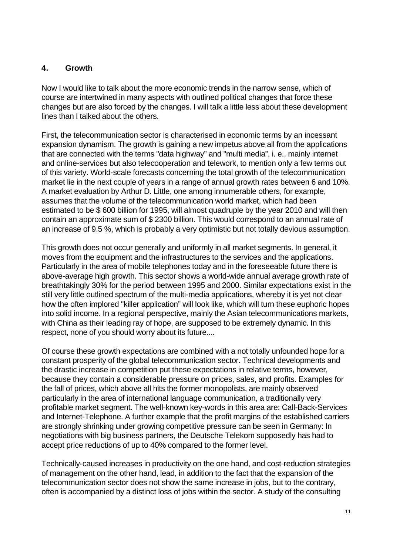#### **4. Growth**

Now I would like to talk about the more economic trends in the narrow sense, which of course are intertwined in many aspects with outlined political changes that force these changes but are also forced by the changes. I will talk a little less about these development lines than I talked about the others.

First, the telecommunication sector is characterised in economic terms by an incessant expansion dynamism. The growth is gaining a new impetus above all from the applications that are connected with the terms "data highway" and "multi media", i. e., mainly internet and online-services but also telecooperation and telework, to mention only a few terms out of this variety. World-scale forecasts concerning the total growth of the telecommunication market lie in the next couple of years in a range of annual growth rates between 6 and 10%. A market evaluation by Arthur D. Little, one among innumerable others, for example, assumes that the volume of the telecommunication world market, which had been estimated to be \$ 600 billion for 1995, will almost quadruple by the year 2010 and will then contain an approximate sum of \$ 2300 billion. This would correspond to an annual rate of an increase of 9.5 %, which is probably a very optimistic but not totally devious assumption.

This growth does not occur generally and uniformly in all market segments. In general, it moves from the equipment and the infrastructures to the services and the applications. Particularly in the area of mobile telephones today and in the foreseeable future there is above-average high growth. This sector shows a world-wide annual average growth rate of breathtakingly 30% for the period between 1995 and 2000. Similar expectations exist in the still very little outlined spectrum of the multi-media applications, whereby it is yet not clear how the often implored "killer application" will look like, which will turn these euphoric hopes into solid income. In a regional perspective, mainly the Asian telecommunications markets, with China as their leading ray of hope, are supposed to be extremely dynamic. In this respect, none of you should worry about its future....

Of course these growth expectations are combined with a not totally unfounded hope for a constant prosperity of the global telecommunication sector. Technical developments and the drastic increase in competition put these expectations in relative terms, however, because they contain a considerable pressure on prices, sales, and profits. Examples for the fall of prices, which above all hits the former monopolists, are mainly observed particularly in the area of international language communication, a traditionally very profitable market segment. The well-known key-words in this area are: Call-Back-Services and Internet-Telephone. A further example that the profit margins of the established carriers are strongly shrinking under growing competitive pressure can be seen in Germany: In negotiations with big business partners, the Deutsche Telekom supposedly has had to accept price reductions of up to 40% compared to the former level.

Technically-caused increases in productivity on the one hand, and cost-reduction strategies of management on the other hand, lead, in addition to the fact that the expansion of the telecommunication sector does not show the same increase in jobs, but to the contrary, often is accompanied by a distinct loss of jobs within the sector. A study of the consulting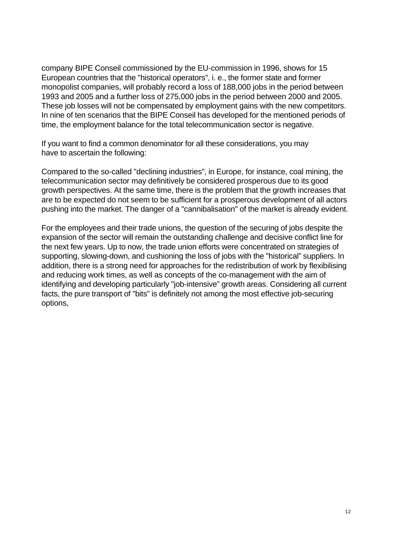company BIPE Conseil commissioned by the EU-commission in 1996, shows for 15 European countries that the "historical operators", i. e., the former state and former monopolist companies, will probably record a loss of 188,000 jobs in the period between 1993 and 2005 and a further loss of 275,000 jobs in the period between 2000 and 2005. These job losses will not be compensated by employment gains with the new competitors. In nine of ten scenarios that the BIPE Conseil has developed for the mentioned periods of time, the employment balance for the total telecommunication sector is negative.

If you want to find a common denominator for all these considerations, you may have to ascertain the following:

Compared to the so-called "declining industries", in Europe, for instance, coal mining, the telecommunication sector may definitively be considered prosperous due to its good growth perspectives. At the same time, there is the problem that the growth increases that are to be expected do not seem to be sufficient for a prosperous development of all actors pushing into the market. The danger of a "cannibalisation" of the market is already evident.

For the employees and their trade unions, the question of the securing of jobs despite the expansion of the sector will remain the outstanding challenge and decisive conflict line for the next few years. Up to now, the trade union efforts were concentrated on strategies of supporting, slowing-down, and cushioning the loss of jobs with the "historical" suppliers. In addition, there is a strong need for approaches for the redistribution of work by flexibilising and reducing work times, as well as concepts of the co-management with the aim of identifying and developing particularly "job-intensive" growth areas. Considering all current facts, the pure transport of "bits" is definitely not among the most effective job-securing options,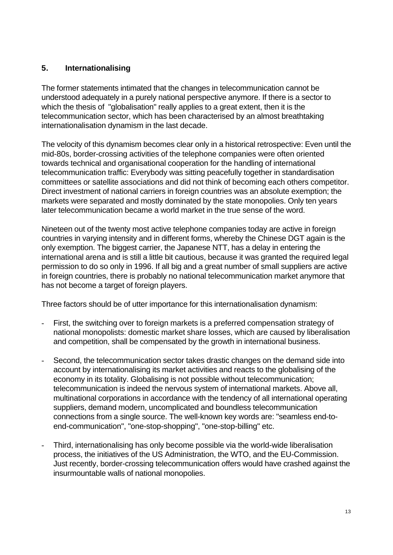# **5. Internationalising**

The former statements intimated that the changes in telecommunication cannot be understood adequately in a purely national perspective anymore. If there is a sector to which the thesis of "globalisation" really applies to a great extent, then it is the telecommunication sector, which has been characterised by an almost breathtaking internationalisation dynamism in the last decade.

The velocity of this dynamism becomes clear only in a historical retrospective: Even until the mid-80s, border-crossing activities of the telephone companies were often oriented towards technical and organisational cooperation for the handling of international telecommunication traffic: Everybody was sitting peacefully together in standardisation committees or satellite associations and did not think of becoming each others competitor. Direct investment of national carriers in foreign countries was an absolute exemption; the markets were separated and mostly dominated by the state monopolies. Only ten years later telecommunication became a world market in the true sense of the word.

Nineteen out of the twenty most active telephone companies today are active in foreign countries in varying intensity and in different forms, whereby the Chinese DGT again is the only exemption. The biggest carrier, the Japanese NTT, has a delay in entering the international arena and is still a little bit cautious, because it was granted the required legal permission to do so only in 1996. If all big and a great number of small suppliers are active in foreign countries, there is probably no national telecommunication market anymore that has not become a target of foreign players.

Three factors should be of utter importance for this internationalisation dynamism:

- First, the switching over to foreign markets is a preferred compensation strategy of national monopolists: domestic market share losses, which are caused by liberalisation and competition, shall be compensated by the growth in international business.
- Second, the telecommunication sector takes drastic changes on the demand side into account by internationalising its market activities and reacts to the globalising of the economy in its totality. Globalising is not possible without telecommunication; telecommunication is indeed the nervous system of international markets. Above all, multinational corporations in accordance with the tendency of all international operating suppliers, demand modern, uncomplicated and boundless telecommunication connections from a single source. The well-known key words are: "seamless end-toend-communication", "one-stop-shopping", "one-stop-billing" etc.
- Third, internationalising has only become possible via the world-wide liberalisation process, the initiatives of the US Administration, the WTO, and the EU-Commission. Just recently, border-crossing telecommunication offers would have crashed against the insurmountable walls of national monopolies.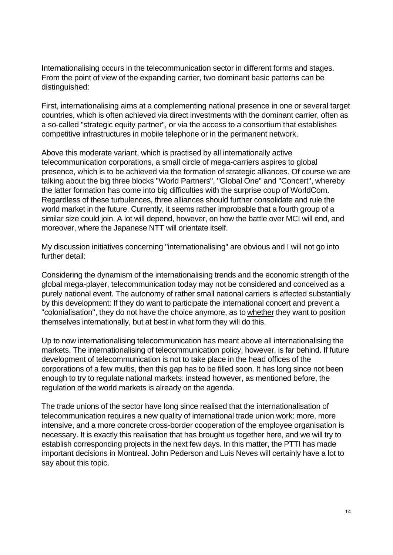Internationalising occurs in the telecommunication sector in different forms and stages. From the point of view of the expanding carrier, two dominant basic patterns can be distinguished:

First, internationalising aims at a complementing national presence in one or several target countries, which is often achieved via direct investments with the dominant carrier, often as a so-called "strategic equity partner", or via the access to a consortium that establishes competitive infrastructures in mobile telephone or in the permanent network.

Above this moderate variant, which is practised by all internationally active telecommunication corporations, a small circle of mega-carriers aspires to global presence, which is to be achieved via the formation of strategic alliances. Of course we are talking about the big three blocks "World Partners", "Global One" and "Concert", whereby the latter formation has come into big difficulties with the surprise coup of WorldCom. Regardless of these turbulences, three alliances should further consolidate and rule the world market in the future. Currently, it seems rather improbable that a fourth group of a similar size could join. A lot will depend, however, on how the battle over MCI will end, and moreover, where the Japanese NTT will orientate itself.

My discussion initiatives concerning "internationalising" are obvious and I will not go into further detail:

Considering the dynamism of the internationalising trends and the economic strength of the global mega-player, telecommunication today may not be considered and conceived as a purely national event. The autonomy of rather small national carriers is affected substantially by this development: If they do want to participate the international concert and prevent a "colonialisation", they do not have the choice anymore, as to whether they want to position themselves internationally, but at best in what form they will do this.

Up to now internationalising telecommunication has meant above all internationalising the markets. The internationalising of telecommunication policy, however, is far behind. If future development of telecommunication is not to take place in the head offices of the corporations of a few multis, then this gap has to be filled soon. It has long since not been enough to try to regulate national markets: instead however, as mentioned before, the regulation of the world markets is already on the agenda.

The trade unions of the sector have long since realised that the internationalisation of telecommunication requires a new quality of international trade union work: more, more intensive, and a more concrete cross-border cooperation of the employee organisation is necessary. It is exactly this realisation that has brought us together here, and we will try to establish corresponding projects in the next few days. In this matter, the PTTI has made important decisions in Montreal. John Pederson and Luis Neves will certainly have a lot to say about this topic.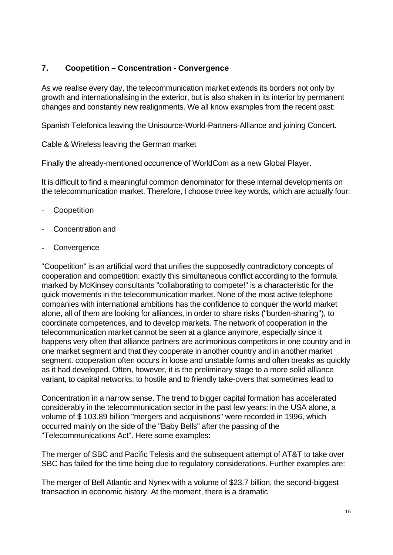# **7. Coopetition – Concentration - Convergence**

As we realise every day, the telecommunication market extends its borders not only by growth and internationalising in the exterior, but is also shaken in its interior by permanent changes and constantly new realignments. We all know examples from the recent past:

Spanish Telefonica leaving the Unisource-World-Partners-Alliance and joining Concert.

Cable & Wireless leaving the German market

Finally the already-mentioned occurrence of WorldCom as a new Global Player.

It is difficult to find a meaningful common denominator for these internal developments on the telecommunication market. Therefore, I choose three key words, which are actually four:

- **Coopetition**
- Concentration and
- **Convergence**

"Coopetition" is an artificial word that unifies the supposedly contradictory concepts of cooperation and competition: exactly this simultaneous conflict according to the formula marked by McKinsey consultants "collaborating to compete!" is a characteristic for the quick movements in the telecommunication market. None of the most active telephone companies with international ambitions has the confidence to conquer the world market alone, all of them are looking for alliances, in order to share risks ("burden-sharing"), to coordinate competences, and to develop markets. The network of cooperation in the telecommunication market cannot be seen at a glance anymore, especially since it happens very often that alliance partners are acrimonious competitors in one country and in one market segment and that they cooperate in another country and in another market segment. cooperation often occurs in loose and unstable forms and often breaks as quickly as it had developed. Often, however, it is the preliminary stage to a more solid alliance variant, to capital networks, to hostile and to friendly take-overs that sometimes lead to

Concentration in a narrow sense. The trend to bigger capital formation has accelerated considerably in the telecommunication sector in the past few years: in the USA alone, a volume of \$ 103.89 billion "mergers and acquisitions" were recorded in 1996, which occurred mainly on the side of the "Baby Bells" after the passing of the "Telecommunications Act". Here some examples:

The merger of SBC and Pacific Telesis and the subsequent attempt of AT&T to take over SBC has failed for the time being due to regulatory considerations. Further examples are:

The merger of Bell Atlantic and Nynex with a volume of \$23.7 billion, the second-biggest transaction in economic history. At the moment, there is a dramatic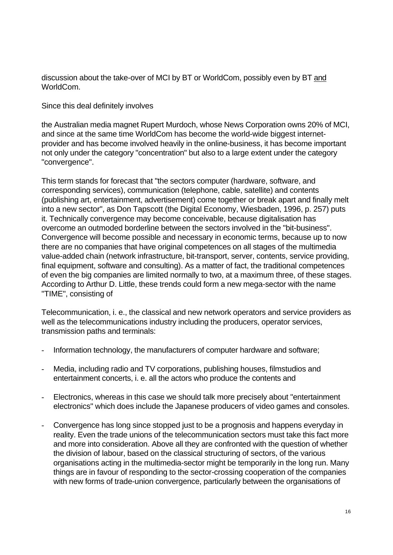discussion about the take-over of MCI by BT or WorldCom, possibly even by BT and WorldCom.

Since this deal definitely involves

the Australian media magnet Rupert Murdoch, whose News Corporation owns 20% of MCI, and since at the same time WorldCom has become the world-wide biggest internetprovider and has become involved heavily in the online-business, it has become important not only under the category "concentration" but also to a large extent under the category "convergence".

This term stands for forecast that "the sectors computer (hardware, software, and corresponding services), communication (telephone, cable, satellite) and contents (publishing art, entertainment, advertisement) come together or break apart and finally melt into a new sector", as Don Tapscott (the Digital Economy, Wiesbaden, 1996, p. 257) puts it. Technically convergence may become conceivable, because digitalisation has overcome an outmoded borderline between the sectors involved in the "bit-business". Convergence will become possible and necessary in economic terms, because up to now there are no companies that have original competences on all stages of the multimedia value-added chain (network infrastructure, bit-transport, server, contents, service providing, final equipment, software and consulting). As a matter of fact, the traditional competences of even the big companies are limited normally to two, at a maximum three, of these stages. According to Arthur D. Little, these trends could form a new mega-sector with the name "TIME", consisting of

Telecommunication, i. e., the classical and new network operators and service providers as well as the telecommunications industry including the producers, operator services, transmission paths and terminals:

- Information technology, the manufacturers of computer hardware and software;
- Media, including radio and TV corporations, publishing houses, filmstudios and entertainment concerts, i. e. all the actors who produce the contents and
- Electronics, whereas in this case we should talk more precisely about "entertainment electronics" which does include the Japanese producers of video games and consoles.
- Convergence has long since stopped just to be a prognosis and happens everyday in reality. Even the trade unions of the telecommunication sectors must take this fact more and more into consideration. Above all they are confronted with the question of whether the division of labour, based on the classical structuring of sectors, of the various organisations acting in the multimedia-sector might be temporarily in the long run. Many things are in favour of responding to the sector-crossing cooperation of the companies with new forms of trade-union convergence, particularly between the organisations of